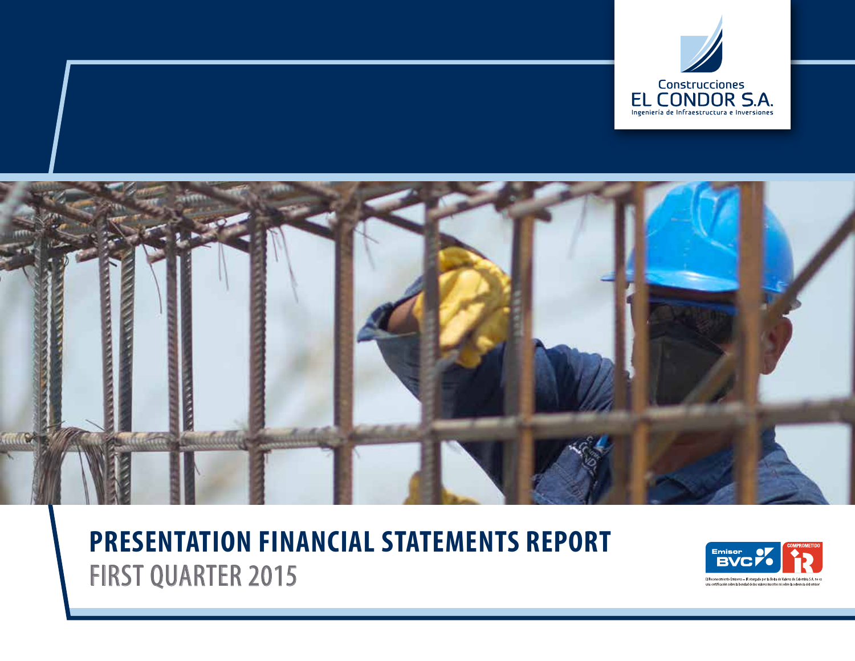



# **PRESENTATION FINANCIAL STATEMENTS REPORT** FIRST QUARTER 2015

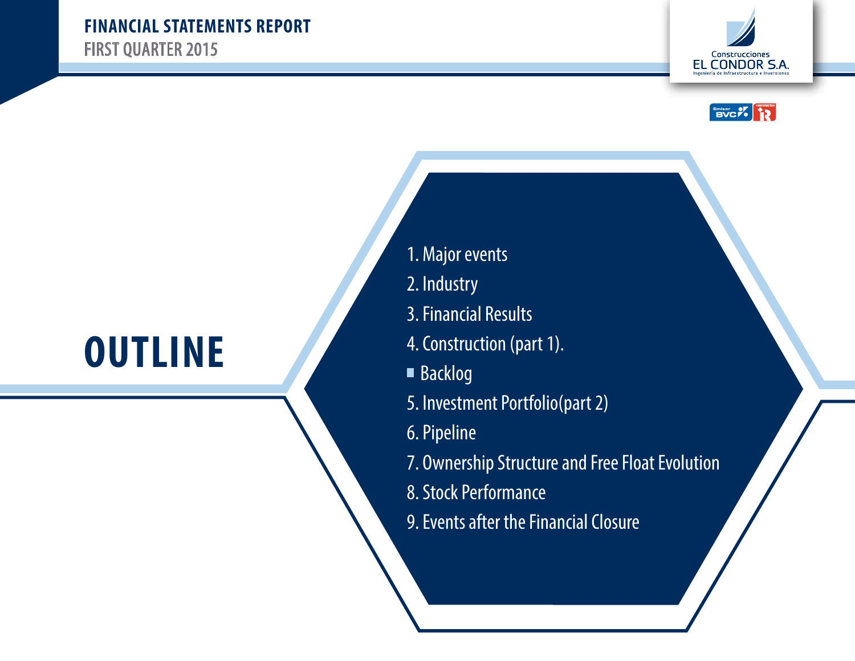



# **OUTLINE**

- 1. Major events
- 2. Industry
- 3. Financial Results
- 4. Construction (part 1).
- Backlog
- 5. Investment Portfolio(part 2)
- 6. Pipeline
- 7. Ownership Structure and Free Float Evolution
- 8. Stock Performance
- 9. Events after the Financial Closure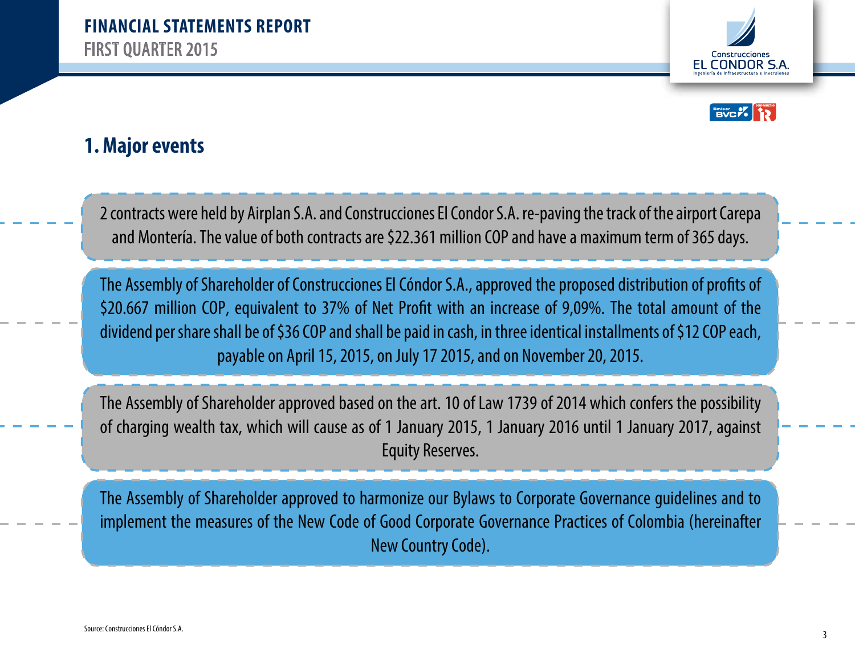



#### **1. Major events**

2 contracts were held by Airplan S.A. and Construcciones El Condor S.A. re-paving the track of the airport Carepa and Montería. The value of both contracts are \$22.361 million COP and have a maximum term of 365 days.

The Assembly of Shareholder of Construcciones El Cóndor S.A., approved the proposed distribution of profits of \$20.667 million COP, equivalent to 37% of Net Profit with an increase of 9,09%. The total amount of the dividend per share shall be of \$36 COP and shall be paid in cash, in three identical installments of \$12 COP each, payable on April 15, 2015, on July 17 2015, and on November 20, 2015.

The Assembly of Shareholder approved based on the art. 10 of Law 1739 of 2014 which confers the possibility of charging wealth tax, which will cause as of 1 January 2015, 1 January 2016 until 1 January 2017, against Equity Reserves.

The Assembly of Shareholder approved to harmonize our Bylaws to Corporate Governance guidelines and to implement the measures of the New Code of Good Corporate Governance Practices of Colombia (hereinafter New Country Code).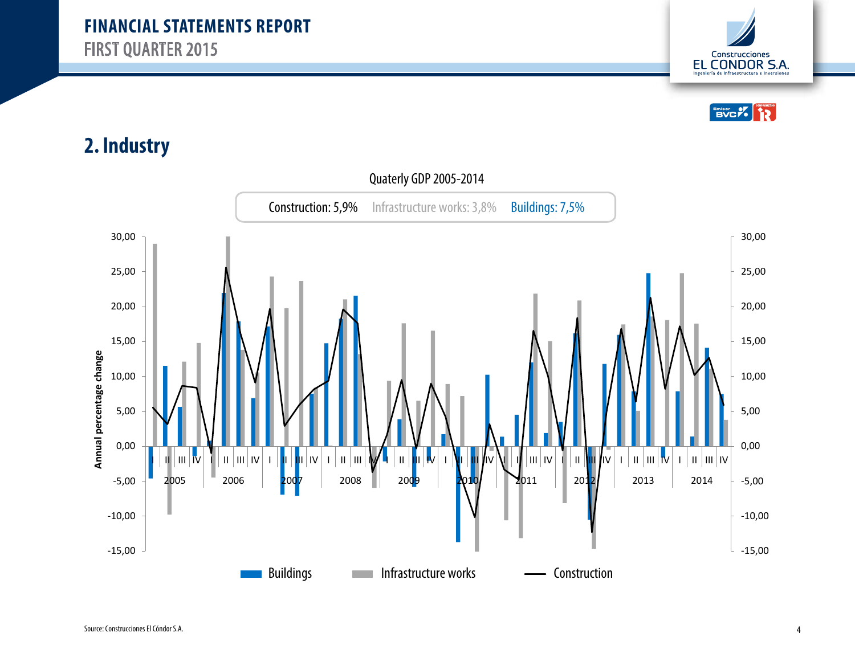



### **2. Industry**

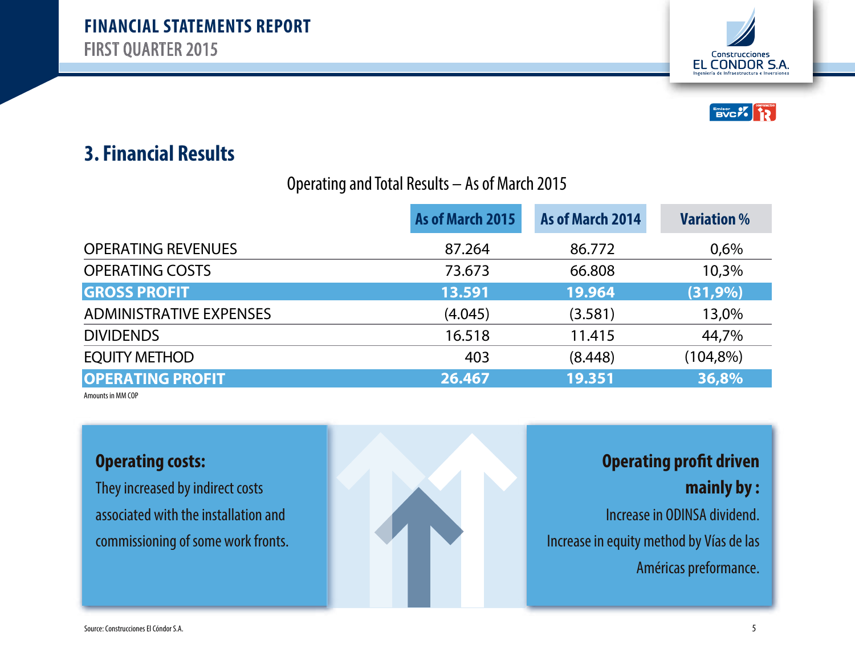



#### Operating and Total Results – As of March 2015

|                                | As of March 2015<br>As of March 2014 |         | <b>Variation %</b> |  |
|--------------------------------|--------------------------------------|---------|--------------------|--|
| <b>OPERATING REVENUES</b>      | 87.264                               | 86.772  | 0,6%               |  |
| <b>OPERATING COSTS</b>         | 73.673                               | 66.808  | 10,3%              |  |
| <b>GROSS PROFIT</b>            | 13.591                               | 19.964  | $(31, 9\%)$        |  |
| <b>ADMINISTRATIVE EXPENSES</b> | (4.045)                              | (3.581) | 13,0%              |  |
| <b>DIVIDENDS</b>               | 16.518                               | 11.415  | 44,7%              |  |
| <b>EQUITY METHOD</b>           | 403                                  | (8.448) | $(104,8\%)$        |  |
| <b>OPERATING PROFIT</b>        | 26.467                               | 19.351  | 36,8%              |  |

Amounts in MM COP

#### **Operating costs:**

They increased by indirect costs associated with the installation and commissioning of some work fronts.



# **Operating profit driven**

**mainly by :**

Increase in ODINSA dividend. Increase in equity method by Vías de las Américas preformance.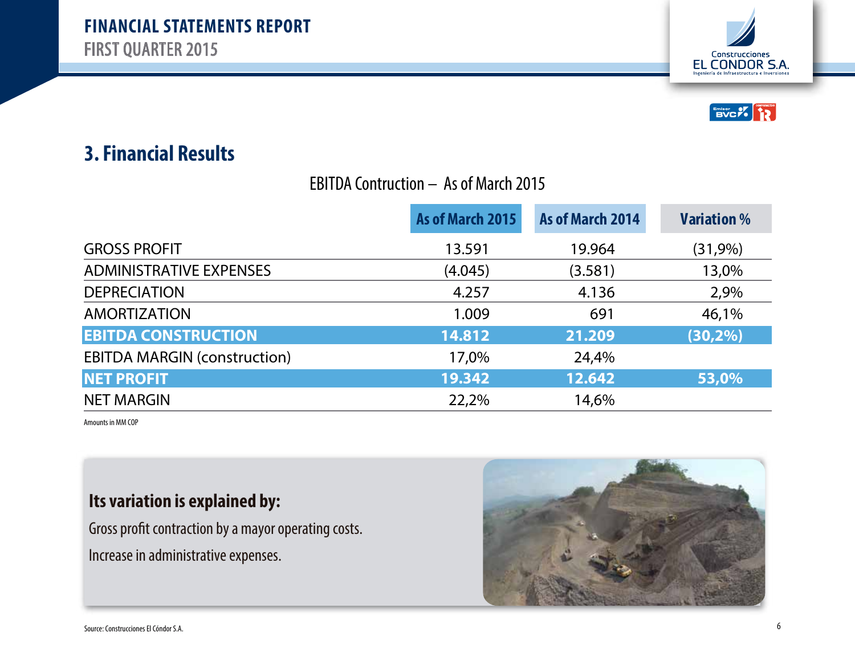



#### EBITDA Contruction – As of March 2015

|                                     | As of March 2015 | As of March 2014 | <b>Variation</b> % |
|-------------------------------------|------------------|------------------|--------------------|
| <b>GROSS PROFIT</b>                 | 13.591           | 19.964           | (31,9%)            |
| <b>ADMINISTRATIVE EXPENSES</b>      | (4.045)          | (3.581)          | 13,0%              |
| <b>DEPRECIATION</b>                 | 4.257            | 4.136            | 2,9%               |
| <b>AMORTIZATION</b>                 | 1.009            | 691              | 46,1%              |
| <b>EBITDA CONSTRUCTION</b>          | 14.812           | 21.209           | $(30, 2\%)$        |
| <b>EBITDA MARGIN (construction)</b> | 17,0%            | 24,4%            |                    |
| <b>NET PROFIT</b>                   | 19.342           | 12.642           | 53,0%              |
| <b>NET MARGIN</b>                   | 22,2%            | 14,6%            |                    |

Amounts in MM COP

#### **Its variation is explained by:**

Gross profit contraction by a mayor operating costs. Increase in administrative expenses.

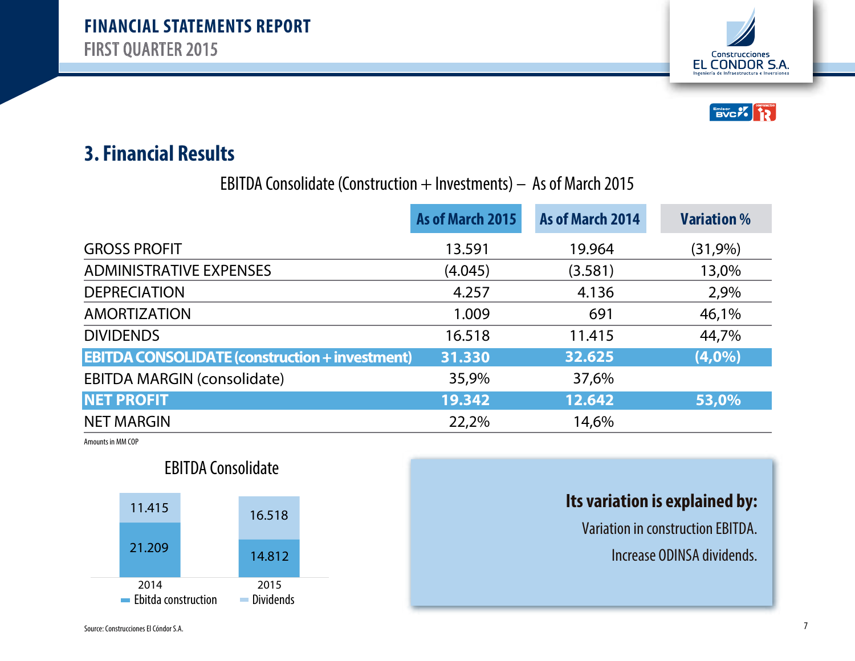



EBITDA Consolidate (Construction  $+$  Investments)  $-$  As of March 2015

|                                                       | As of March 2015 | As of March 2014 | <b>Variation</b> % |
|-------------------------------------------------------|------------------|------------------|--------------------|
| <b>GROSS PROFIT</b>                                   | 13.591           | 19.964           | (31,9%)            |
| <b>ADMINISTRATIVE EXPENSES</b>                        | (4.045)          | (3.581)          | 13,0%              |
| <b>DEPRECIATION</b>                                   | 4.257            | 4.136            | 2,9%               |
| <b>AMORTIZATION</b>                                   | 1.009            | 691              | 46,1%              |
| <b>DIVIDENDS</b>                                      | 16.518           | 11.415           | 44,7%              |
| <b>EBITDA CONSOLIDATE (construction + investment)</b> | 31.330           | 32.625           | (4,0%              |
| <b>EBITDA MARGIN (consolidate)</b>                    | 35,9%            | 37,6%            |                    |
| <b>NET PROFIT</b>                                     | 19.342           | 12.642           | 53,0%              |
| <b>NET MARGIN</b>                                     | 22,2%            | 14,6%            |                    |

Amounts in MM COP



#### **Its variation is explained by:**

Variation in construction EBITDA.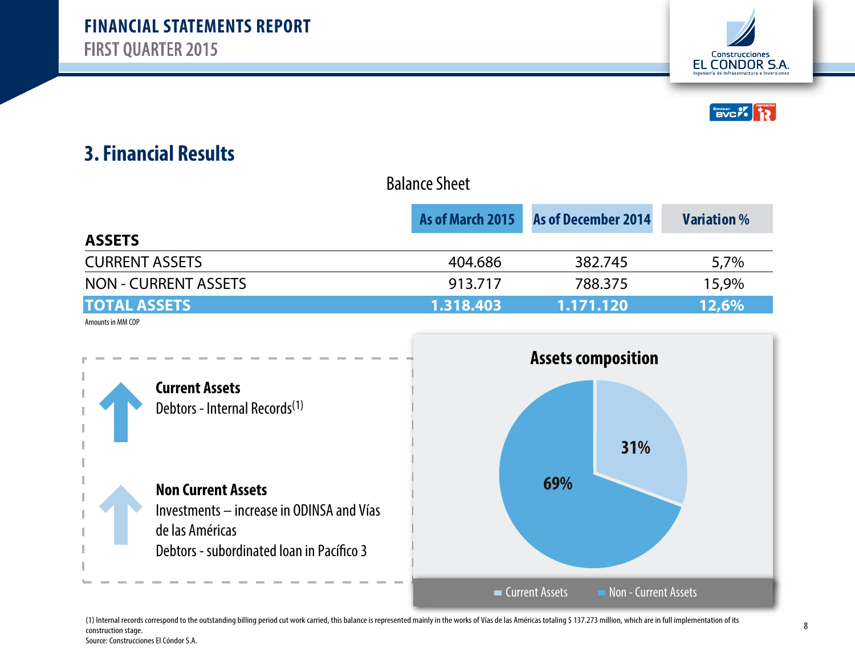



|                             | As of March 2015<br><b>As of December 2014</b> |                           | <b>Variation</b> % |  |
|-----------------------------|------------------------------------------------|---------------------------|--------------------|--|
| <b>ASSETS</b>               |                                                |                           |                    |  |
| <b>CURRENT ASSETS</b>       | 404.686                                        | 382.745                   | 5,7%               |  |
| <b>NON - CURRENT ASSETS</b> | 913.717                                        | 788.375                   | 15,9%              |  |
| <b>TOTAL ASSETS</b>         | 1.318.403                                      | 1.171.120                 | 12,6%              |  |
| Amounts in MM COP           |                                                |                           |                    |  |
|                             |                                                | <b>Assets composition</b> |                    |  |
| $f$ $f$                     |                                                |                           |                    |  |

Balance Sheet



(1) Internal records correspond to the outstanding billing period cut work carried, this balance is represented mainly in the works of Vías de las Américas totaling \$ 137.273 million, which are in full implementation of its construction stage. Source: Construcciones El Cóndor S.A.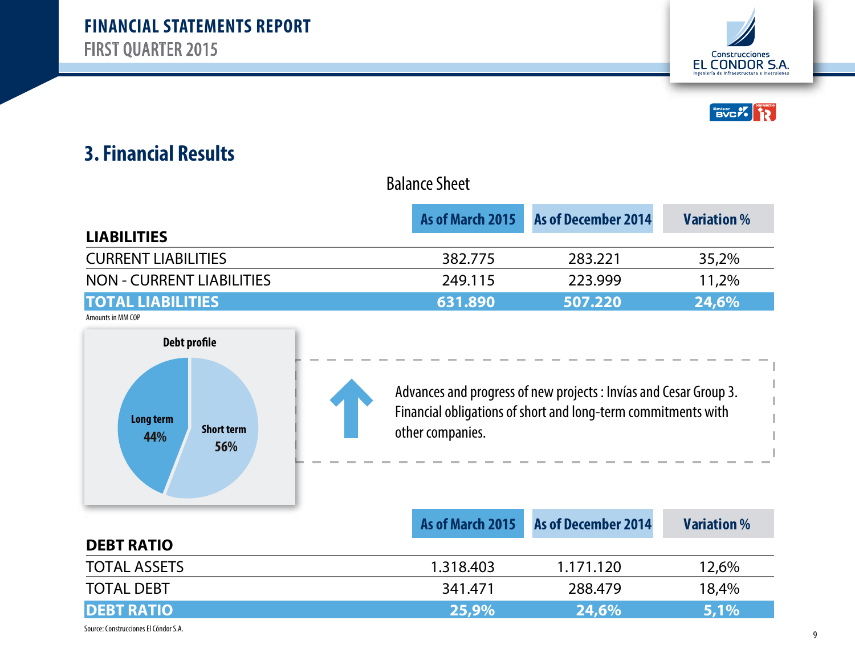



|                                  | As of March 2015 | <b>As of December 2014</b>                                        | <b>Variation</b> % |
|----------------------------------|------------------|-------------------------------------------------------------------|--------------------|
| <b>LIABILITIES</b>               |                  |                                                                   |                    |
| <b>CURRENT LIABILITIES</b>       | 382.775          | 283.221                                                           | 35,2%              |
| <b>NON - CURRENT LIABILITIES</b> | 249.115          | 223.999                                                           | 11,2%              |
| <b>TOTAL LIABILITIES</b>         | 631.890          | 507.220                                                           | 24,6%              |
| Amounts in MM COP                |                  |                                                                   |                    |
| Debt profile                     |                  |                                                                   |                    |
|                                  |                  |                                                                   |                    |
|                                  |                  | Advances and progress of new projects : Invías and Cesar Group 3. |                    |
|                                  |                  |                                                                   |                    |
| Long term                        |                  | Financial obligations of short and long-term commitments with     |                    |

Balance Sheet



Financial obligations of short and long-term commitments with

|                                       |           | As of March 2015 As of December 2014 | <b>Variation</b> % |
|---------------------------------------|-----------|--------------------------------------|--------------------|
| <b>DEBT RATIO</b>                     |           |                                      |                    |
| <b>TOTAL ASSETS</b>                   | 1.318.403 | 1.171.120                            | 12,6%              |
| <b>TOTAL DEBT</b>                     | 341.471   | 288.479                              | 18,4%              |
| <b>DEBT RATIO</b>                     | 25,9%     | <b>24,6%</b>                         | 5,1%               |
| Source: Construcciones El Cóndor S.A. |           |                                      |                    |

#### 9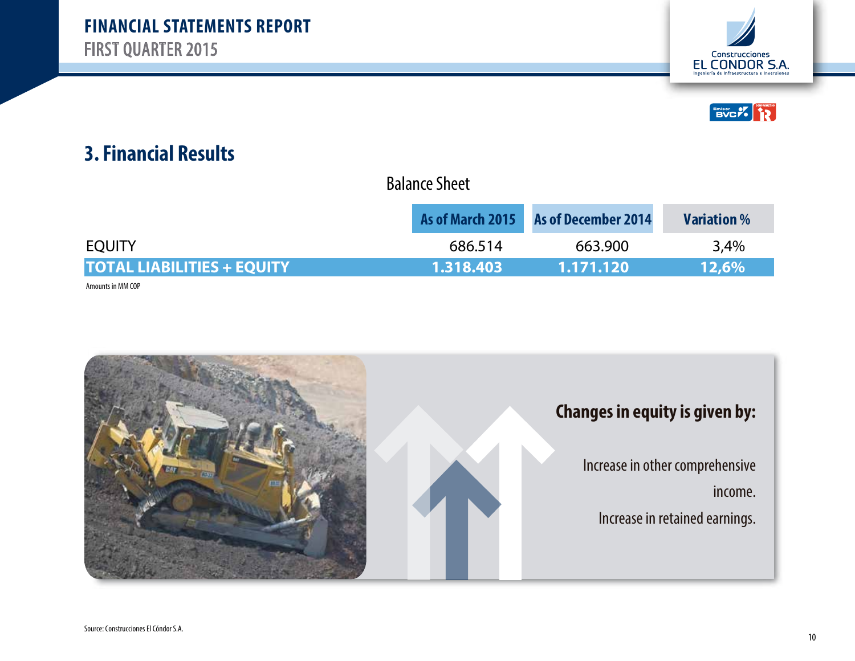



| <b>Balance Sheet</b> |  |
|----------------------|--|
|----------------------|--|

|                                   |           | As of March 2015 As of December 2014 | <b>Variation</b> % |
|-----------------------------------|-----------|--------------------------------------|--------------------|
| <b>EOUITY</b>                     | 686.514   | 663.900                              | 3.4%               |
| <b>TOTAL LIABILITIES + EQUITY</b> | 1.318.403 | 1.171.120                            | 12.6%              |

Amounts in MM COP

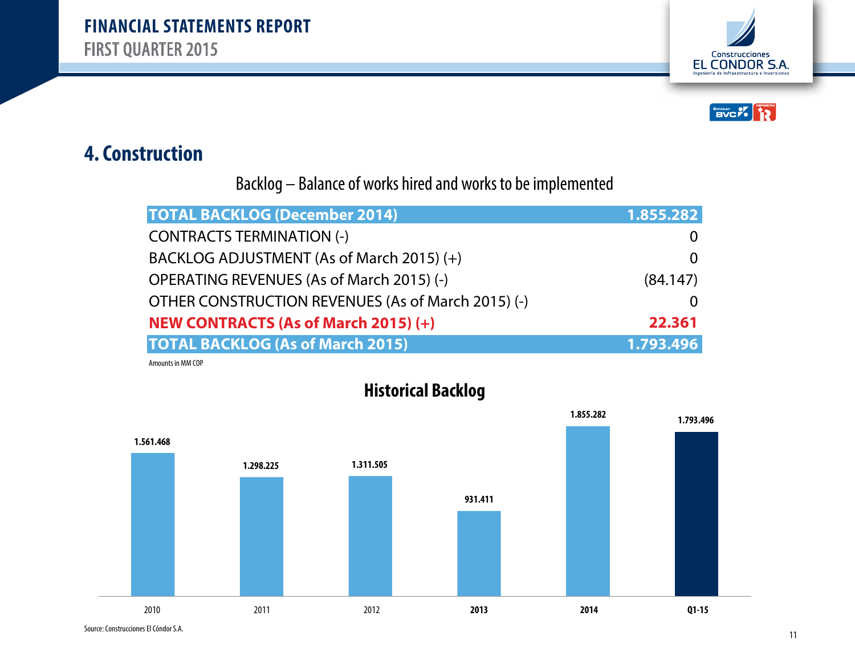



#### **4. Construction**

Backlog – Balance of works hired and works to be implemented

| <b>TOTAL BACKLOG (December 2014)</b>               | 1.855.282 |
|----------------------------------------------------|-----------|
| <b>CONTRACTS TERMINATION (-)</b>                   |           |
| BACKLOG ADJUSTMENT (As of March 2015) (+)          |           |
| OPERATING REVENUES (As of March 2015) (-)          | (84.147)  |
| OTHER CONSTRUCTION REVENUES (As of March 2015) (-) |           |
| <b>NEW CONTRACTS (As of March 2015) (+)</b>        | 22.361    |
| <b>TOTAL BACKLOG (As of March 2015)</b>            | 1.793.496 |

Amounts in MM COP



**Historical Backlog**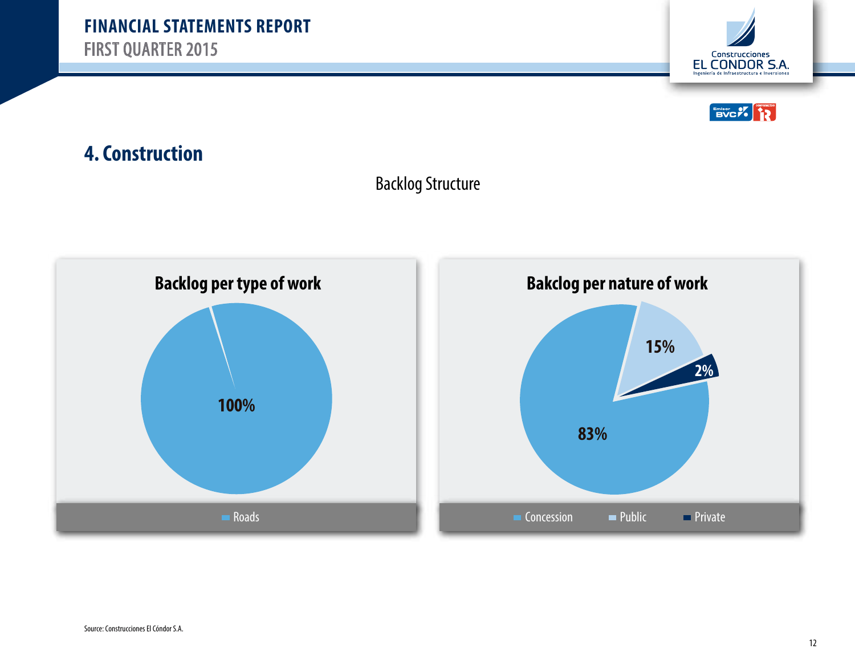



## **4. Construction**



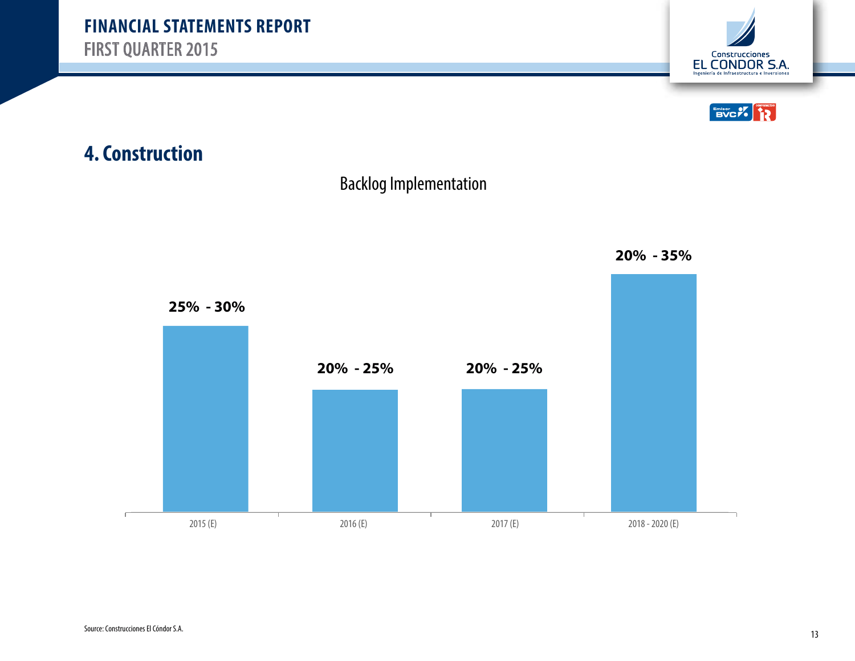



### **4. Construction**



Backlog Implementation

**20% - 35%**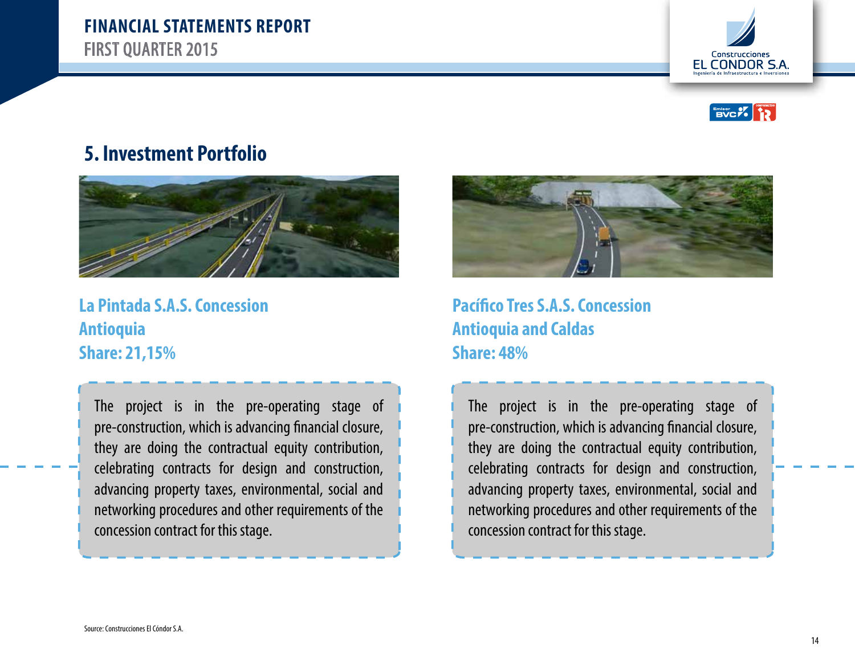





**La Pintada S.A.S. Concession Antioquia Share: 21,15%**

The project is in the pre-operating stage of pre-construction, which is advancing financial closure, they are doing the contractual equity contribution, celebrating contracts for design and construction, advancing property taxes, environmental, social and networking procedures and other requirements of the concession contract for this stage.



**Pacífico Tres S.A.S. Concession Antioquia and Caldas Share: 48%**

The project is in the pre-operating stage of pre-construction, which is advancing financial closure, they are doing the contractual equity contribution, celebrating contracts for design and construction, advancing property taxes, environmental, social and networking procedures and other requirements of the concession contract for this stage.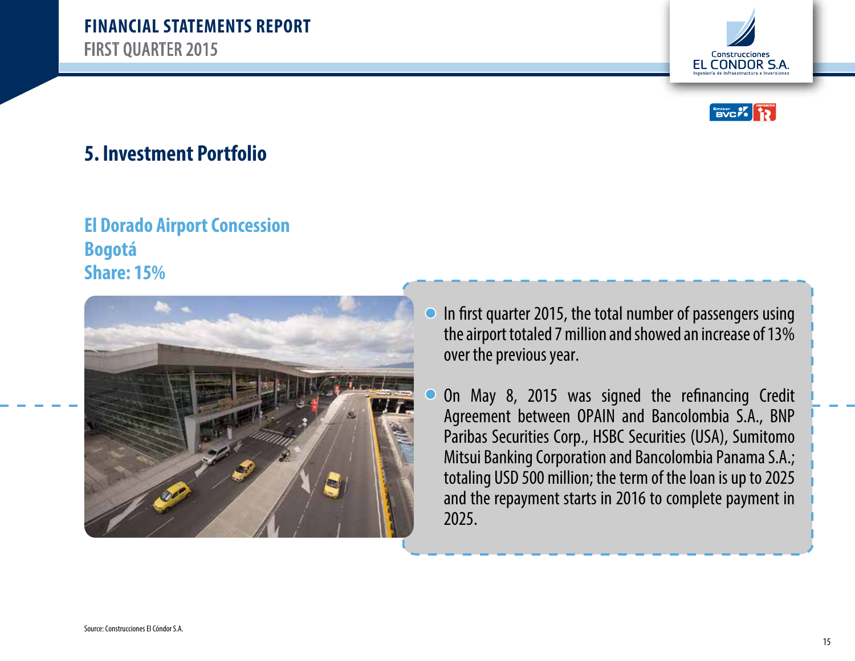

Construcciones EL CONDOR S.A.

#### **5. Investment Portfolio**

#### **El Dorado Airport Concession Bogotá Share: 15%**



- In first quarter 2015, the total number of passengers using the airport totaled 7 million and showed an increase of 13% over the previous year.
- On May 8, 2015 was signed the refinancing Credit Agreement between OPAIN and Bancolombia S.A., BNP Paribas Securities Corp., HSBC Securities (USA), Sumitomo Mitsui Banking Corporation and Bancolombia Panama S.A.; totaling USD 500 million; the term of the loan is up to 2025 and the repayment starts in 2016 to complete payment in 2025.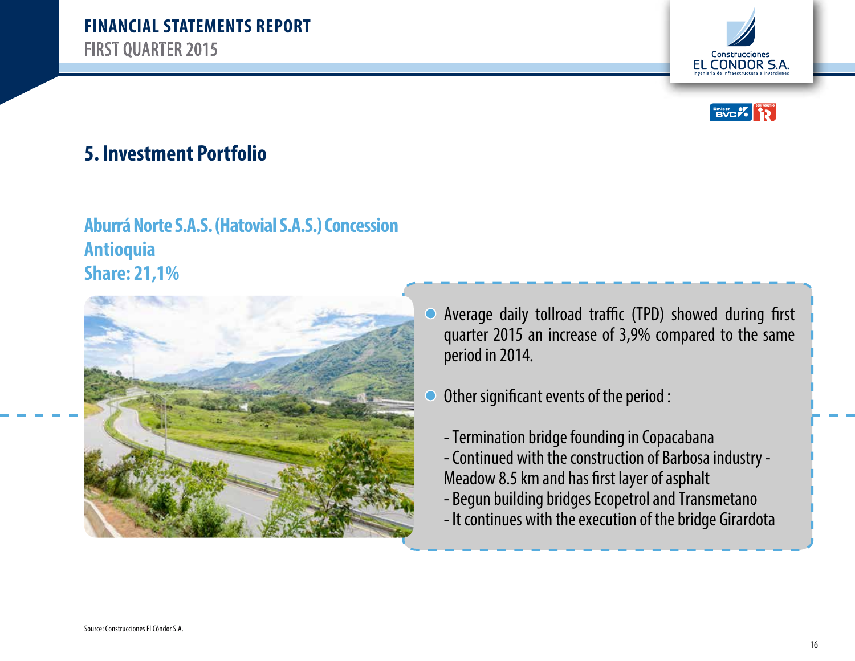

Construcciones EL CONDOR S.A.

#### **5. Investment Portfolio**

#### **Aburrá Norte S.A.S. (Hatovial S.A.S.) Concession Antioquia Share: 21,1%**



- Average daily tollroad traffic (TPD) showed during first  $\bigcirc$ quarter 2015 an increase of 3,9% compared to the same period in 2014.
- Other significant events of the period :
	- Termination bridge founding in Copacabana
	- Continued with the construction of Barbosa industry Meadow 8.5 km and has first layer of asphalt
	- Begun building bridges Ecopetrol and Transmetano
	- It continues with the execution of the bridge Girardota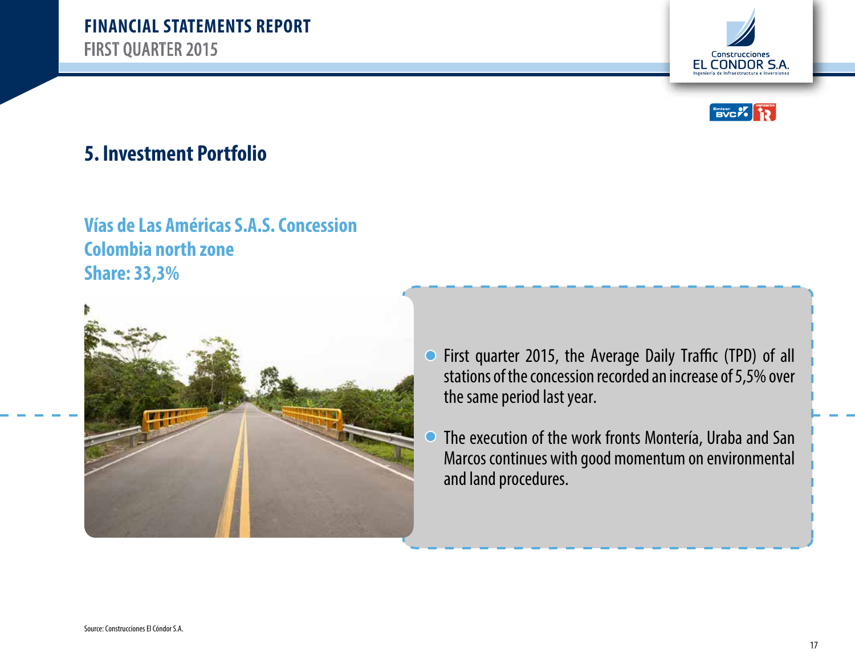



#### **Vías de Las Américas S.A.S. Concession Colombia north zone Share: 33,3%**



- First quarter 2015, the Average Daily Traffic (TPD) of all  $\bigcirc$ stations of the concession recorded an increase of 5,5% over the same period last year.
- The execution of the work fronts Montería, Uraba and San С Marcos continues with good momentum on environmental and land procedures.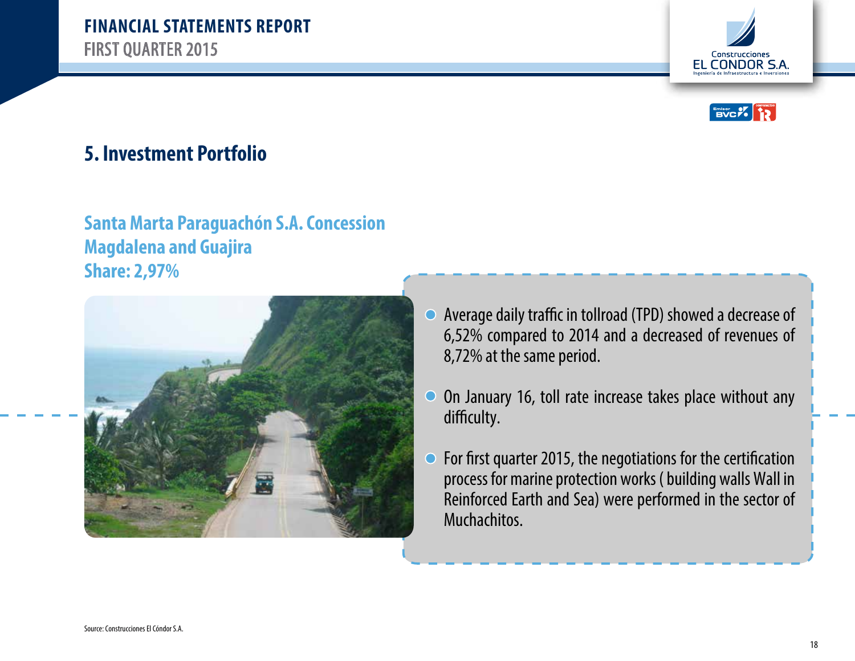



#### **Santa Marta Paraguachón S.A. Concession Magdalena and Guajira Share: 2,97%**



- Average daily traffic in tollroad (TPD) showed a decrease of  $\bigcirc$ 6,52% compared to 2014 and a decreased of revenues of 8,72% at the same period.
- On January 16, toll rate increase takes place without any  $\bigcirc$ difficulty.
- For first quarter 2015, the negotiations for the certification  $\overline{O}$ process for marine protection works ( building walls Wall in Reinforced Earth and Sea) were performed in the sector of Muchachitos.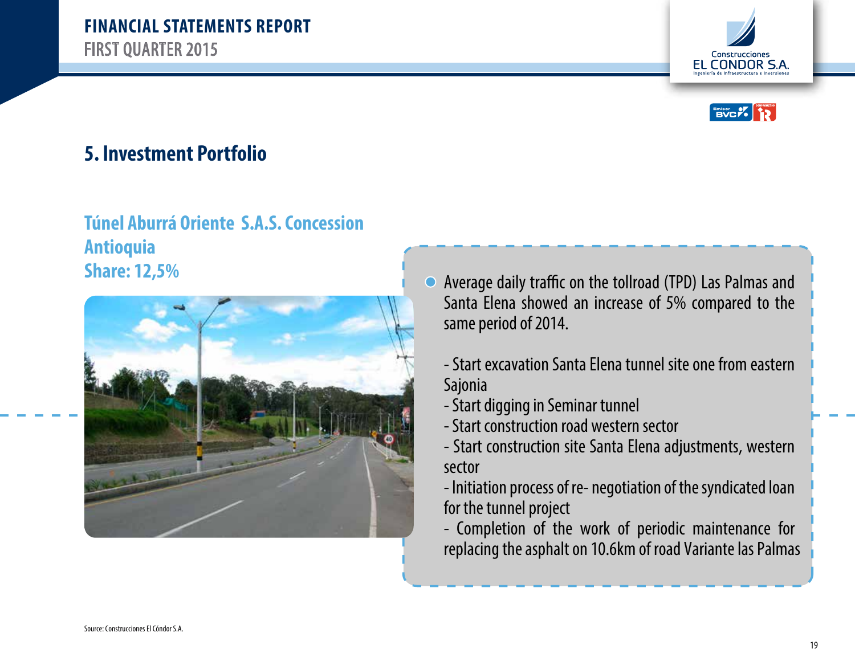



# **Túnel Aburrá Oriente S.A.S. Concession Antioquia**



- **Share: 12,5%** Average daily traffic on the tollroad (TPD) Las Palmas and Share: 12,5% Santa Elena showed an increase of 5% compared to the same period of 2014.
	- Start excavation Santa Elena tunnel site one from eastern Sajonia
	- Start digging in Seminar tunnel
	- Start construction road western sector
	- Start construction site Santa Elena adjustments, western sector
	- Initiation process of re- negotiation of the syndicated loan for the tunnel project
	- Completion of the work of periodic maintenance for replacing the asphalt on 10.6km of road Variante las Palmas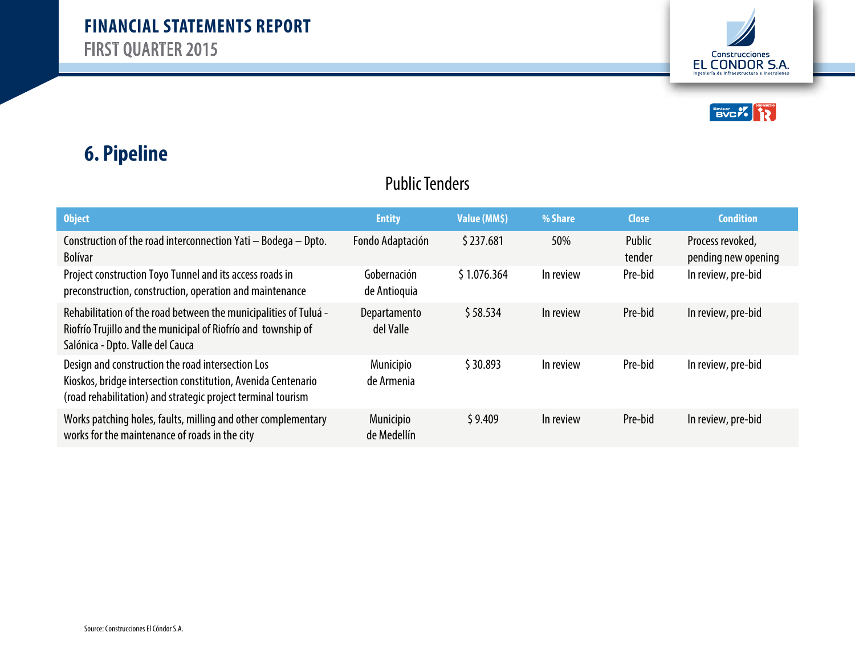



# **6. Pipeline**

#### Public Tenders

| <b>Object</b>                                                                                                                                                                      | <b>Entity</b>                   | Value (MM\$) | % Share   | <b>Close</b>     | <b>Condition</b>                        |
|------------------------------------------------------------------------------------------------------------------------------------------------------------------------------------|---------------------------------|--------------|-----------|------------------|-----------------------------------------|
| Construction of the road interconnection Yati - Bodega - Dpto.<br><b>Bolívar</b>                                                                                                   | Fondo Adaptación                | \$237.681    | 50%       | Public<br>tender | Process revoked,<br>pending new opening |
| Project construction Toyo Tunnel and its access roads in<br>preconstruction, construction, operation and maintenance                                                               | Gobernación<br>de Antioquia     | \$1.076.364  | In review | Pre-bid          | In review, pre-bid                      |
| Rehabilitation of the road between the municipalities of Tuluá -<br>Riofrío Trujillo and the municipal of Riofrío and township of<br>Salónica - Dpto. Valle del Cauca              | Departamento<br>del Valle       | \$58.534     | In review | Pre-bid          | In review, pre-bid                      |
| Design and construction the road intersection Los<br>Kioskos, bridge intersection constitution, Avenida Centenario<br>(road rehabilitation) and strategic project terminal tourism | <b>Municipio</b><br>de Armenia  | \$30.893     | In review | Pre-bid          | In review, pre-bid                      |
| Works patching holes, faults, milling and other complementary<br>works for the maintenance of roads in the city                                                                    | <b>Municipio</b><br>de Medellín | \$9.409      | In review | Pre-bid          | In review, pre-bid                      |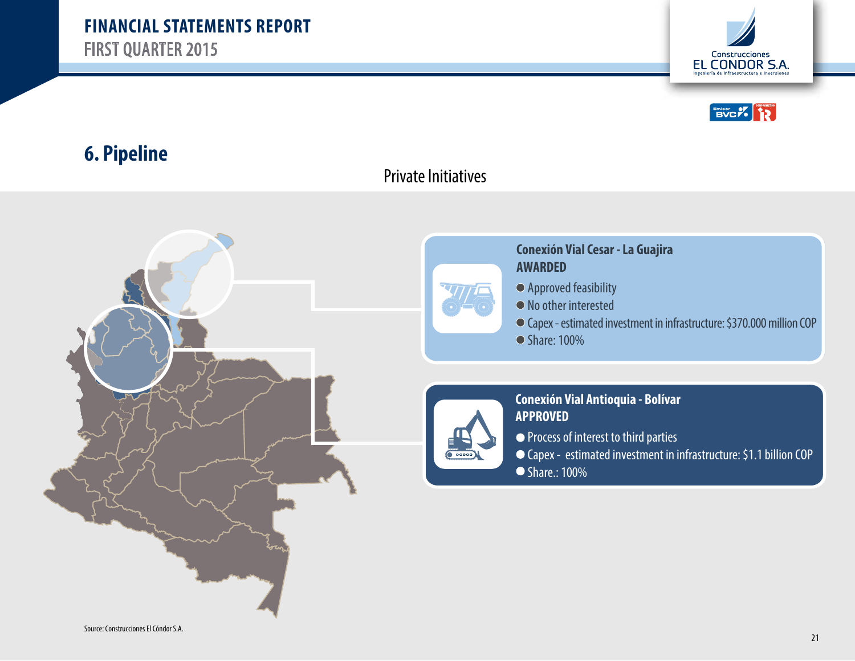



#### **6. Pipeline**

#### Private Initiatives



#### **Conexión Vial Cesar - La Guajira AWARDED**

- Approved feasibility
- No other interested
- Capex estimated investment in infrastructure: \$370.000 million COP
- Share: 100%



#### **Conexión Vial Antioquia - Bolívar APPROVED**

- Process of interest to third parties
- Capex estimated investment in infrastructure: \$1.1 billion COP ● Share.: 100%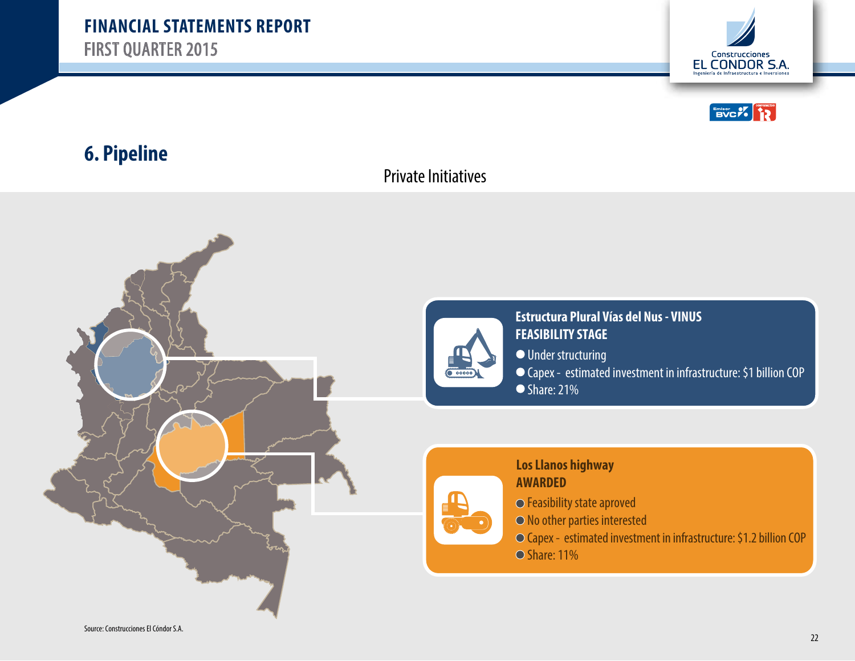



#### **6. Pipeline**

#### Private Initiatives



**Estructura Plural Vías del Nus - VINUS FEASIBILITY STAGE** Under structuring Capex - estimated investment in infrastructure: \$1 billion COP  $\overline{\bullet}$  Share: 21%

#### **Los Llanos highway AWARDED**

- Feasibility state aproved
- No other parties interested
- Capex estimated investment in infrastructure: \$1.2 billion COP
- $\odot$  Share: 11%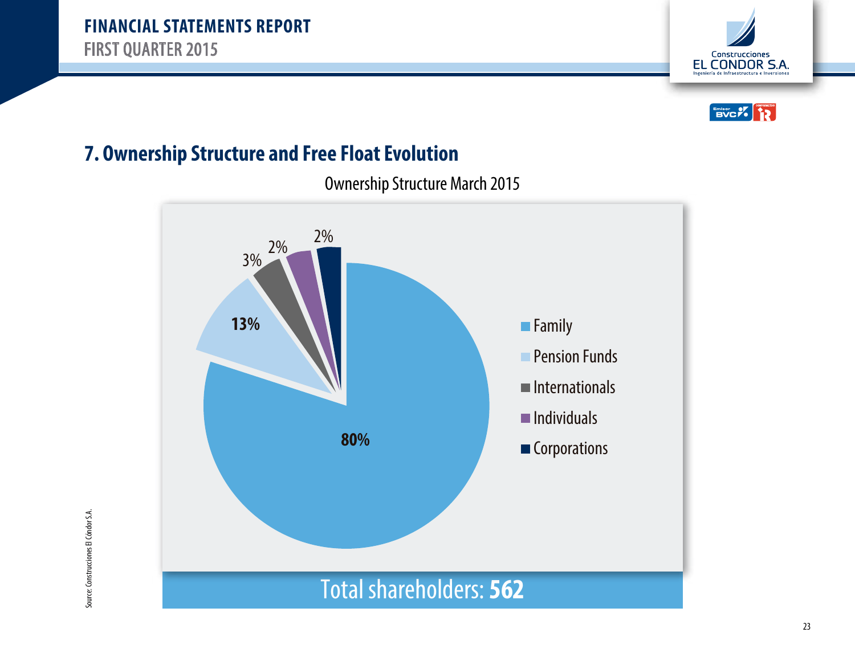



#### **7. Ownership Structure and Free Float Evolution**

Ownership Structure March 2015

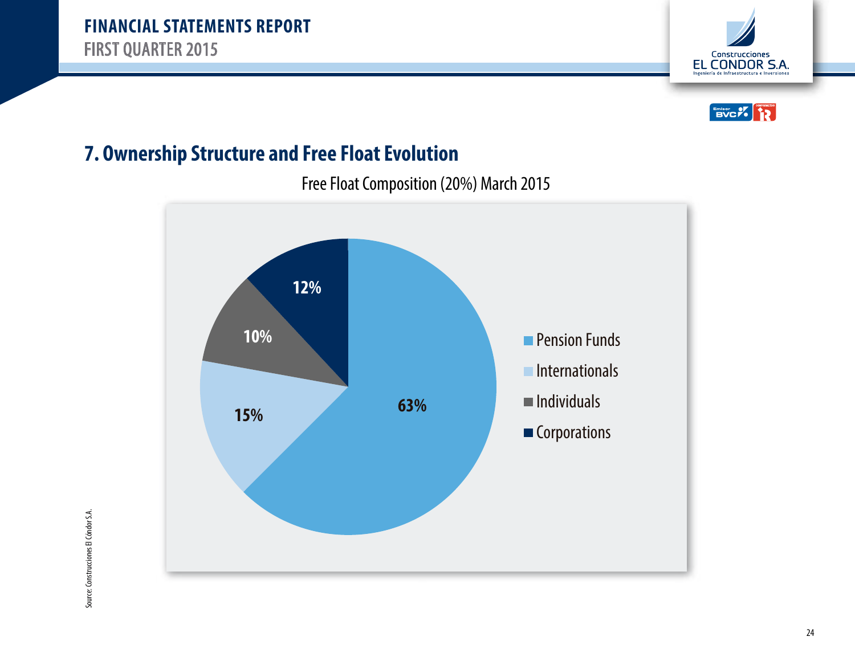



#### **7. Ownership Structure and Free Float Evolution**

Free Float Composition (20%) March 2015

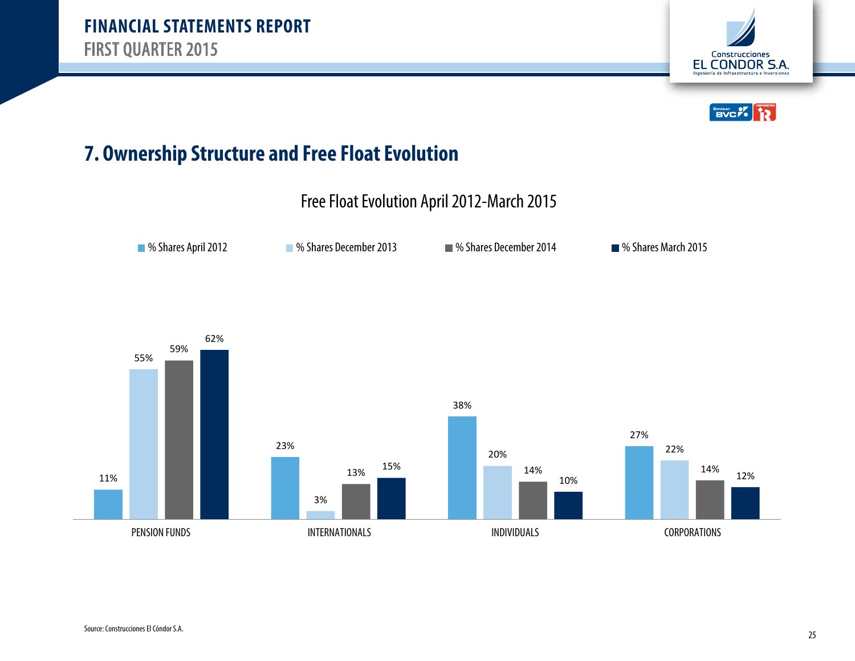



#### **7. Ownership Structure and Free Float Evolution**

Free Float Evolution April 2012-March 2015

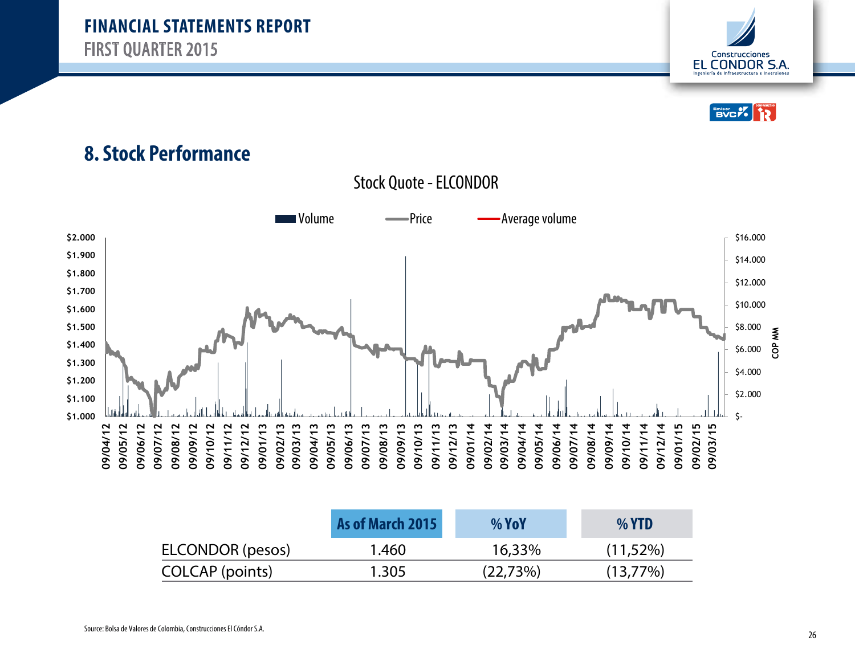



#### **8. Stock Performance**

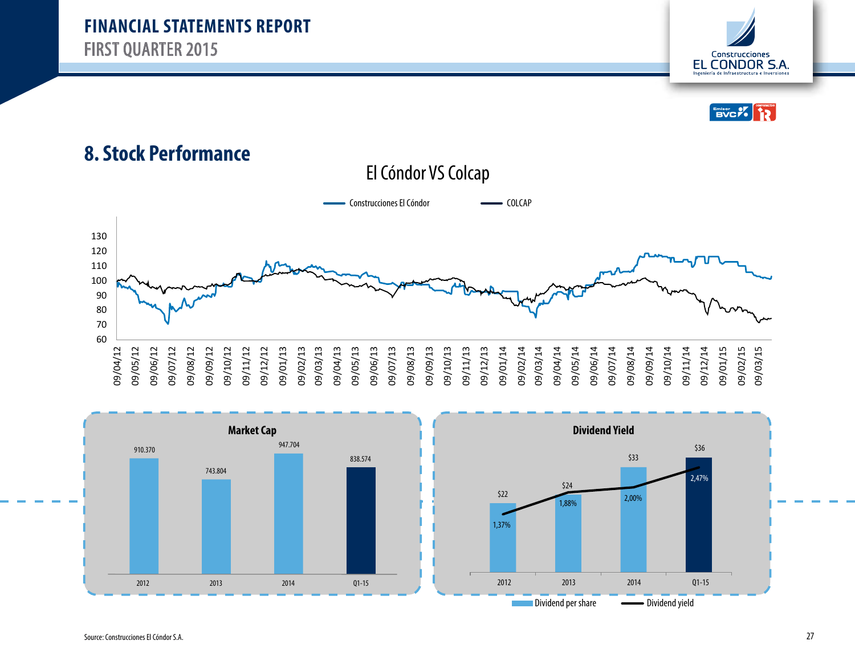



#### **8. Stock Performance**







Source: Construcciones El Cóndor S.A.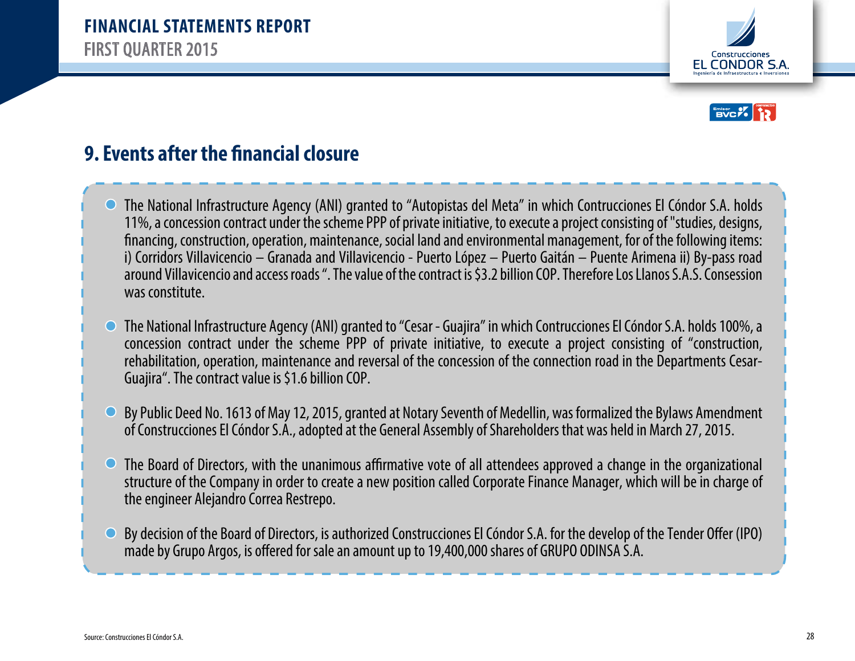



## **9. Events after the financial closure**

- The National Infrastructure Agency (ANI) granted to "Autopistas del Meta" in which Contrucciones El Cóndor S.A. holds 11%, a concession contract under the scheme PPP of private initiative, to execute a project consisting of "studies, designs, nancing, construction, operation, maintenance, social land and environmental management, for of the following items: i) Corridors Villavicencio – Granada and Villavicencio - Puerto López – Puerto Gaitán – Puente Arimena ii) By-pass road around Villavicencio and access roads ". The value of the contract is \$3.2 billion COP. Therefore Los Llanos S.A.S. Consession was constitute.
- The National Infrastructure Agency (ANI) granted to "Cesar Guajira" in which Contrucciones El Cóndor S.A. holds 100%, a  $\bigcirc$ concession contract under the scheme PPP of private initiative, to execute a project consisting of "construction, rehabilitation, operation, maintenance and reversal of the concession of the connection road in the Departments Cesar-Guajira". The contract value is \$1.6 billion COP.
- By Public Deed No. 1613 of May 12, 2015, granted at Notary Seventh of Medellin, was formalized the Bylaws Amendment  $\bigcirc$ of Construcciones El Cóndor S.A., adopted at the General Assembly of Shareholders that was held in March 27, 2015.
- The Board of Directors, with the unanimous affirmative vote of all attendees approved a change in the organizational  $\bigcirc$ structure of the Company in order to create a new position called Corporate Finance Manager, which will be in charge of the engineer Alejandro Correa Restrepo.
- By decision of the Board of Directors, is authorized Construcciones El Cóndor S.A. for the develop of the Tender Offer (IPO)  $\bigcirc$ made by Grupo Argos, is offered for sale an amount up to 19,400,000 shares of GRUPO ODINSA S.A.